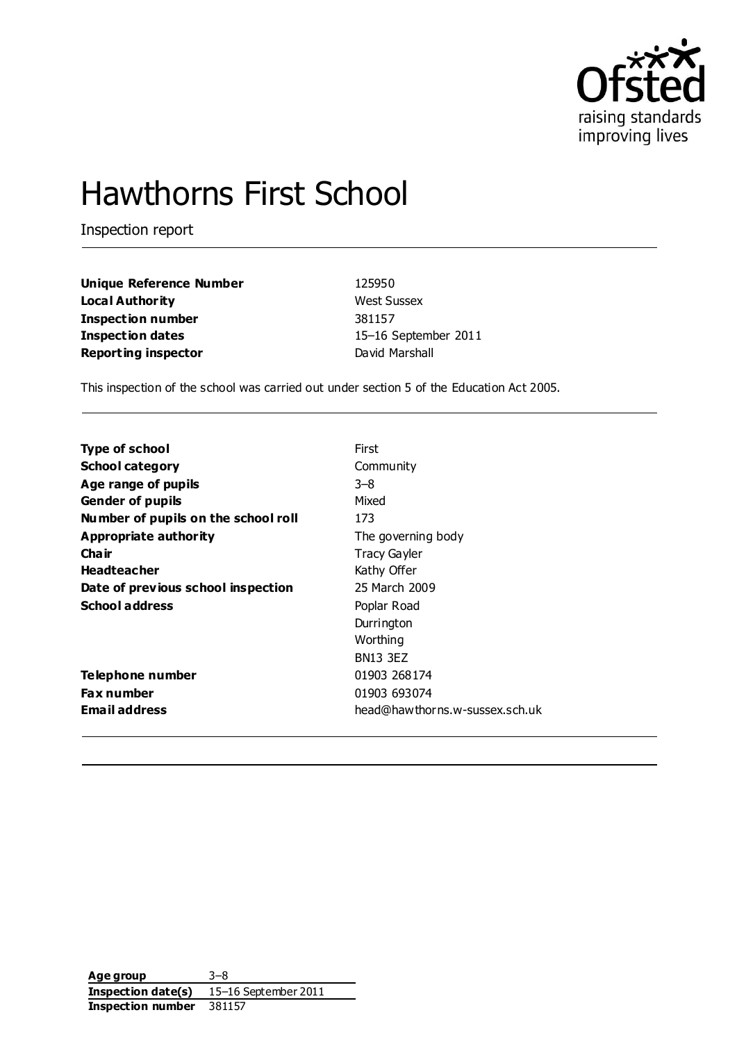

# Hawthorns First School

Inspection report

| Unique Reference Number    | 125950               |
|----------------------------|----------------------|
| <b>Local Authority</b>     | <b>West Sussex</b>   |
| <b>Inspection number</b>   | 381157               |
| <b>Inspection dates</b>    | 15-16 September 2011 |
| <b>Reporting inspector</b> | David Marshall       |

This inspection of the school was carried out under section 5 of the Education Act 2005.

| <b>Type of school</b>               | First                          |
|-------------------------------------|--------------------------------|
| <b>School category</b>              | Community                      |
| Age range of pupils                 | $3 - 8$                        |
| <b>Gender of pupils</b>             | Mixed                          |
| Number of pupils on the school roll | 173                            |
| Appropriate authority               | The governing body             |
| Cha ir                              | Tracy Gayler                   |
| <b>Headteacher</b>                  | Kathy Offer                    |
| Date of previous school inspection  | 25 March 2009                  |
| <b>School address</b>               | Poplar Road                    |
|                                     | Durrington                     |
|                                     | Worthing                       |
|                                     | <b>BN13 3EZ</b>                |
| Telephone number                    | 01903 268174                   |
| <b>Fax number</b>                   | 01903 693074                   |
| Email address                       | head@hawthorns.w-sussex.sch.uk |

**Age group** 3–8 **Inspection date(s)** 15–16 September 2011 **Inspection number** 381157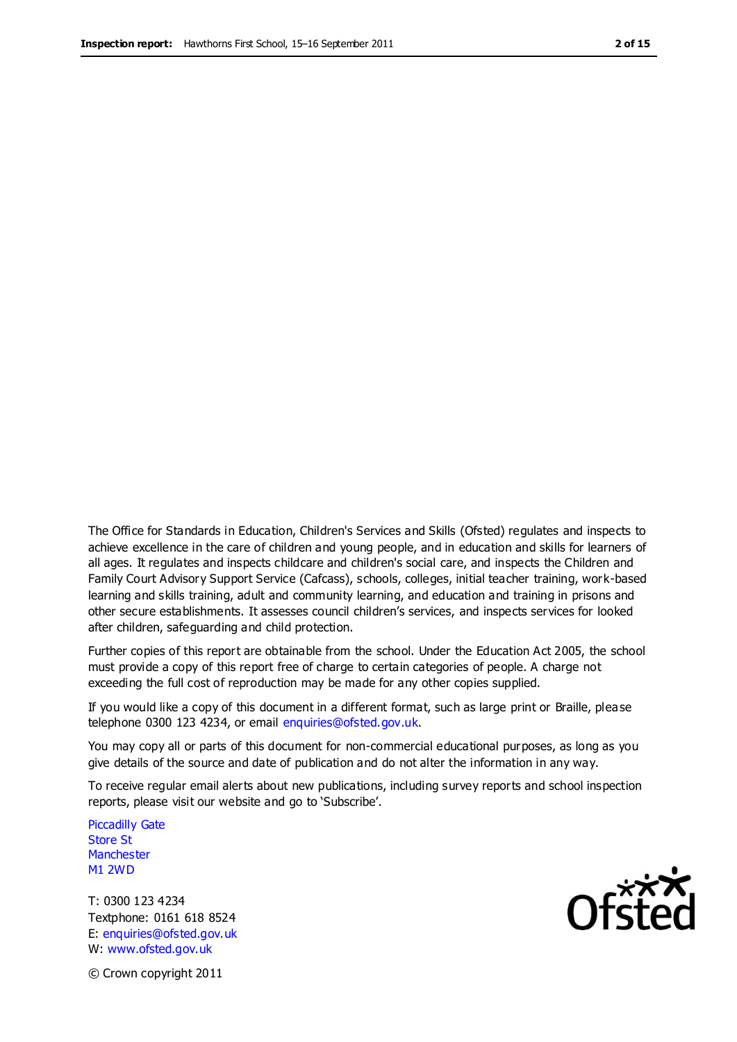The Office for Standards in Education, Children's Services and Skills (Ofsted) regulates and inspects to achieve excellence in the care of children and young people, and in education and skills for learners of all ages. It regulates and inspects childcare and children's social care, and inspects the Children and Family Court Advisory Support Service (Cafcass), schools, colleges, initial teacher training, work-based learning and skills training, adult and community learning, and education and training in prisons and other secure establishments. It assesses council children's services, and inspects services for looked after children, safeguarding and child protection.

Further copies of this report are obtainable from the school. Under the Education Act 2005, the school must provide a copy of this report free of charge to certain categories of people. A charge not exceeding the full cost of reproduction may be made for any other copies supplied.

If you would like a copy of this document in a different format, such as large print or Braille, please telephone 0300 123 4234, or email enquiries@ofsted.gov.uk.

You may copy all or parts of this document for non-commercial educational purposes, as long as you give details of the source and date of publication and do not alter the information in any way.

To receive regular email alerts about new publications, including survey reports and school inspection reports, please visit our website and go to 'Subscribe'.

Piccadilly Gate Store St **Manchester** M1 2WD

T: 0300 123 4234 Textphone: 0161 618 8524 E: enquiries@ofsted.gov.uk W: www.ofsted.gov.uk

**Ofsted** 

© Crown copyright 2011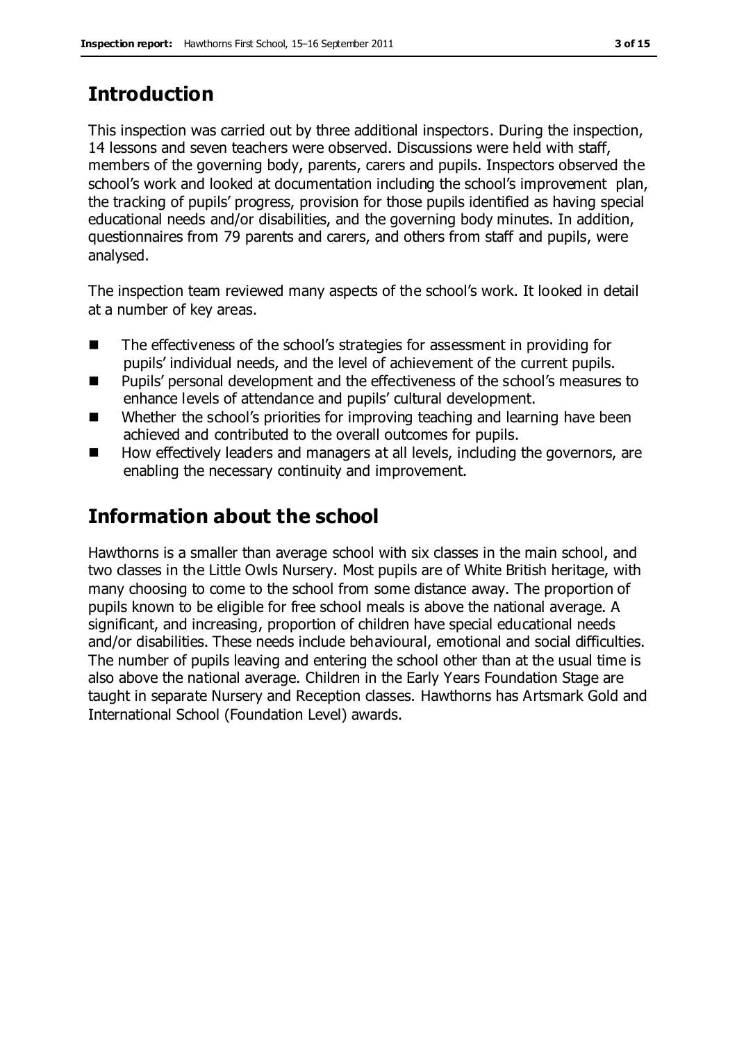## **Introduction**

This inspection was carried out by three additional inspectors. During the inspection, 14 lessons and seven teachers were observed. Discussions were held with staff, members of the governing body, parents, carers and pupils. Inspectors observed the school's work and looked at documentation including the school's improvement plan, the tracking of pupils' progress, provision for those pupils identified as having special educational needs and/or disabilities, and the governing body minutes. In addition, questionnaires from 79 parents and carers, and others from staff and pupils, were analysed.

The inspection team reviewed many aspects of the school's work. It looked in detail at a number of key areas.

- The effectiveness of the school's strategies for assessment in providing for pupils' individual needs, and the level of achievement of the current pupils.
- Pupils' personal development and the effectiveness of the school's measures to enhance levels of attendance and pupils' cultural development.
- Whether the school's priorities for improving teaching and learning have been achieved and contributed to the overall outcomes for pupils.
- How effectively leaders and managers at all levels, including the governors, are enabling the necessary continuity and improvement.

## **Information about the school**

Hawthorns is a smaller than average school with six classes in the main school, and two classes in the Little Owls Nursery. Most pupils are of White British heritage, with many choosing to come to the school from some distance away. The proportion of pupils known to be eligible for free school meals is above the national average. A significant, and increasing, proportion of children have special educational needs and/or disabilities. These needs include behavioural, emotional and social difficulties. The number of pupils leaving and entering the school other than at the usual time is also above the national average. Children in the Early Years Foundation Stage are taught in separate Nursery and Reception classes. Hawthorns has Artsmark Gold and International School (Foundation Level) awards.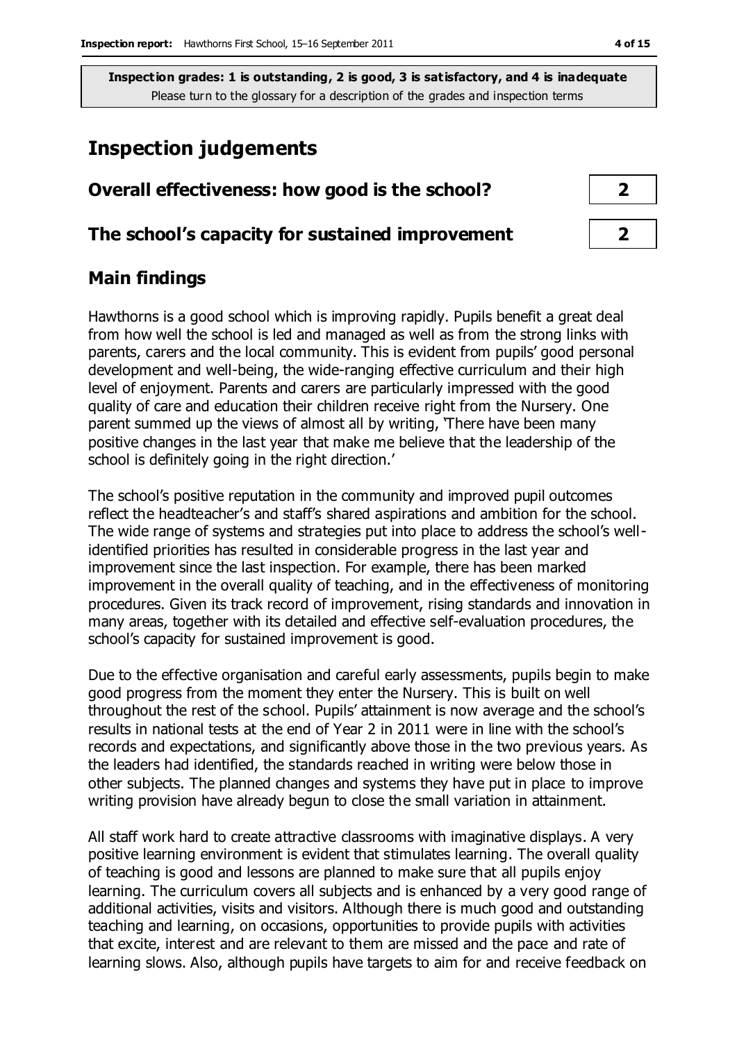### **Inspection judgements**

## **Overall effectiveness: how good is the school? 2 The school's capacity for sustained improvement 2**

#### **Main findings**

Hawthorns is a good school which is improving rapidly. Pupils benefit a great deal from how well the school is led and managed as well as from the strong links with parents, carers and the local community. This is evident from pupils' good personal development and well-being, the wide-ranging effective curriculum and their high level of enjoyment. Parents and carers are particularly impressed with the good quality of care and education their children receive right from the Nursery. One parent summed up the views of almost all by writing, 'There have been many positive changes in the last year that make me believe that the leadership of the school is definitely going in the right direction.'

The school's positive reputation in the community and improved pupil outcomes reflect the headteacher's and staff's shared aspirations and ambition for the school. The wide range of systems and strategies put into place to address the school's wellidentified priorities has resulted in considerable progress in the last year and improvement since the last inspection. For example, there has been marked improvement in the overall quality of teaching, and in the effectiveness of monitoring procedures. Given its track record of improvement, rising standards and innovation in many areas, together with its detailed and effective self-evaluation procedures, the school's capacity for sustained improvement is good.

Due to the effective organisation and careful early assessments, pupils begin to make good progress from the moment they enter the Nursery. This is built on well throughout the rest of the school. Pupils' attainment is now average and the school's results in national tests at the end of Year 2 in 2011 were in line with the school's records and expectations, and significantly above those in the two previous years. As the leaders had identified, the standards reached in writing were below those in other subjects. The planned changes and systems they have put in place to improve writing provision have already begun to close the small variation in attainment.

All staff work hard to create attractive classrooms with imaginative displays. A very positive learning environment is evident that stimulates learning. The overall quality of teaching is good and lessons are planned to make sure that all pupils enjoy learning. The curriculum covers all subjects and is enhanced by a very good range of additional activities, visits and visitors. Although there is much good and outstanding teaching and learning, on occasions, opportunities to provide pupils with activities that excite, interest and are relevant to them are missed and the pace and rate of learning slows. Also, although pupils have targets to aim for and receive feedback on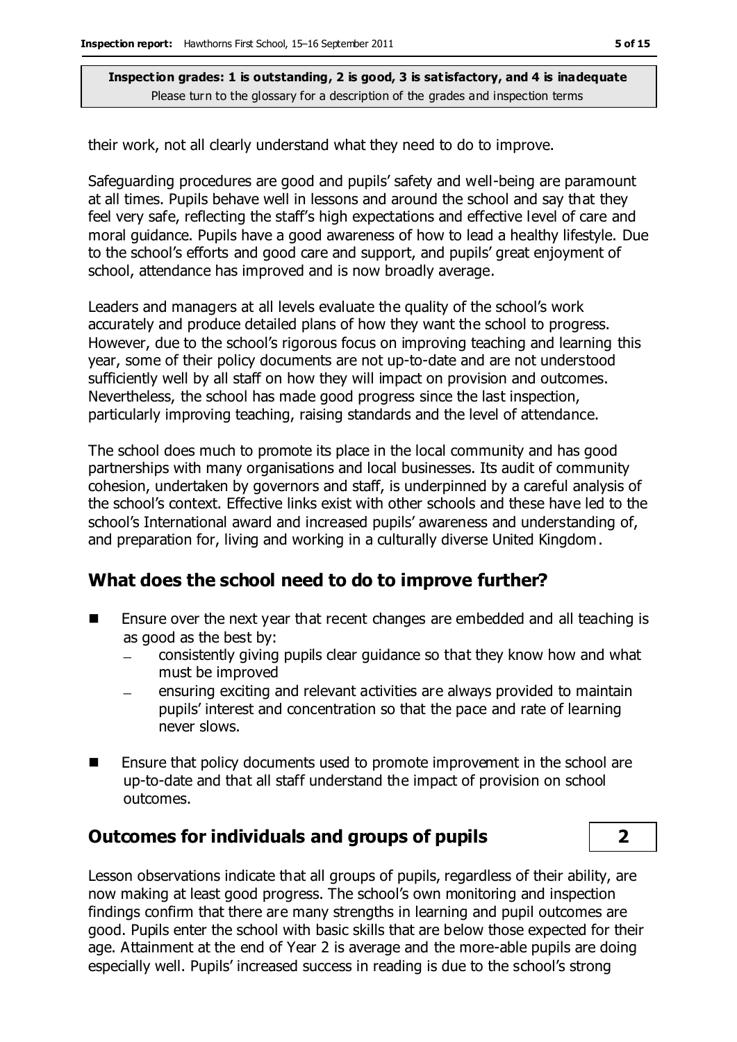their work, not all clearly understand what they need to do to improve.

Safeguarding procedures are good and pupils' safety and well-being are paramount at all times. Pupils behave well in lessons and around the school and say that they feel very safe, reflecting the staff's high expectations and effective level of care and moral guidance. Pupils have a good awareness of how to lead a healthy lifestyle. Due to the school's efforts and good care and support, and pupils' great enjoyment of school, attendance has improved and is now broadly average.

Leaders and managers at all levels evaluate the quality of the school's work accurately and produce detailed plans of how they want the school to progress. However, due to the school's rigorous focus on improving teaching and learning this year, some of their policy documents are not up-to-date and are not understood sufficiently well by all staff on how they will impact on provision and outcomes. Nevertheless, the school has made good progress since the last inspection, particularly improving teaching, raising standards and the level of attendance.

The school does much to promote its place in the local community and has good partnerships with many organisations and local businesses. Its audit of community cohesion, undertaken by governors and staff, is underpinned by a careful analysis of the school's context. Effective links exist with other schools and these have led to the school's International award and increased pupils' awareness and understanding of, and preparation for, living and working in a culturally diverse United Kingdom.

#### **What does the school need to do to improve further?**

- Ensure over the next year that recent changes are embedded and all teaching is as good as the best by:
	- consistently giving pupils clear guidance so that they know how and what  $\equiv$ must be improved
	- ensuring exciting and relevant activities are always provided to maintain pupils' interest and concentration so that the pace and rate of learning never slows.
- **E** Ensure that policy documents used to promote improvement in the school are up-to-date and that all staff understand the impact of provision on school outcomes.

#### **Outcomes for individuals and groups of pupils 2**

Lesson observations indicate that all groups of pupils, regardless of their ability, are now making at least good progress. The school's own monitoring and inspection findings confirm that there are many strengths in learning and pupil outcomes are good. Pupils enter the school with basic skills that are below those expected for their age. Attainment at the end of Year 2 is average and the more-able pupils are doing especially well. Pupils' increased success in reading is due to the school's strong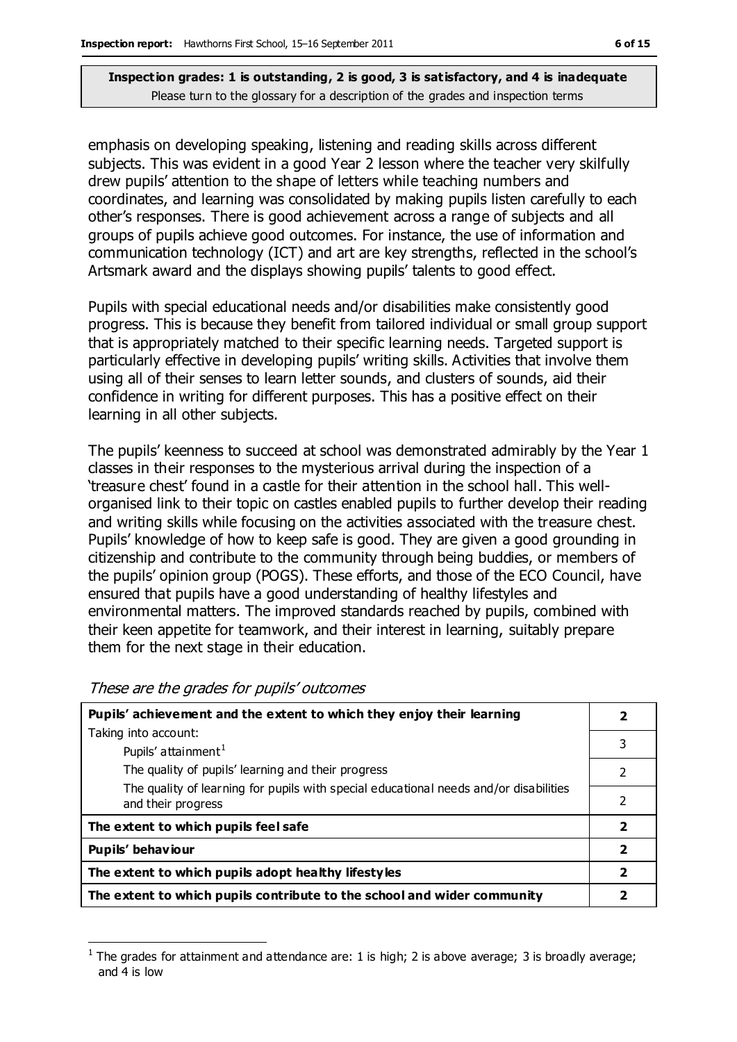emphasis on developing speaking, listening and reading skills across different subjects. This was evident in a good Year 2 lesson where the teacher very skilfully drew pupils' attention to the shape of letters while teaching numbers and coordinates, and learning was consolidated by making pupils listen carefully to each other's responses. There is good achievement across a range of subjects and all groups of pupils achieve good outcomes. For instance, the use of information and communication technology (ICT) and art are key strengths, reflected in the school's Artsmark award and the displays showing pupils' talents to good effect.

Pupils with special educational needs and/or disabilities make consistently good progress. This is because they benefit from tailored individual or small group support that is appropriately matched to their specific learning needs. Targeted support is particularly effective in developing pupils' writing skills. Activities that involve them using all of their senses to learn letter sounds, and clusters of sounds, aid their confidence in writing for different purposes. This has a positive effect on their learning in all other subjects.

The pupils' keenness to succeed at school was demonstrated admirably by the Year 1 classes in their responses to the mysterious arrival during the inspection of a 'treasure chest' found in a castle for their attention in the school hall. This wellorganised link to their topic on castles enabled pupils to further develop their reading and writing skills while focusing on the activities associated with the treasure chest. Pupils' knowledge of how to keep safe is good. They are given a good grounding in citizenship and contribute to the community through being buddies, or members of the pupils' opinion group (POGS). These efforts, and those of the ECO Council, have ensured that pupils have a good understanding of healthy lifestyles and environmental matters. The improved standards reached by pupils, combined with their keen appetite for teamwork, and their interest in learning, suitably prepare them for the next stage in their education.

| Pupils' achievement and the extent to which they enjoy their learning                                       |                         |
|-------------------------------------------------------------------------------------------------------------|-------------------------|
| Taking into account:                                                                                        |                         |
| Pupils' attainment <sup>1</sup>                                                                             | 3                       |
| The quality of pupils' learning and their progress                                                          | 2                       |
| The quality of learning for pupils with special educational needs and/or disabilities<br>and their progress | 2                       |
| The extent to which pupils feel safe                                                                        | $\overline{\mathbf{2}}$ |
| Pupils' behaviour                                                                                           | $\overline{\mathbf{2}}$ |
| The extent to which pupils adopt healthy lifestyles                                                         |                         |
| The extent to which pupils contribute to the school and wider community                                     |                         |

These are the grades for pupils' outcomes

 $\overline{a}$ 

<sup>1</sup> The grades for attainment and attendance are: 1 is high; 2 is above average; 3 is broadly average; and 4 is low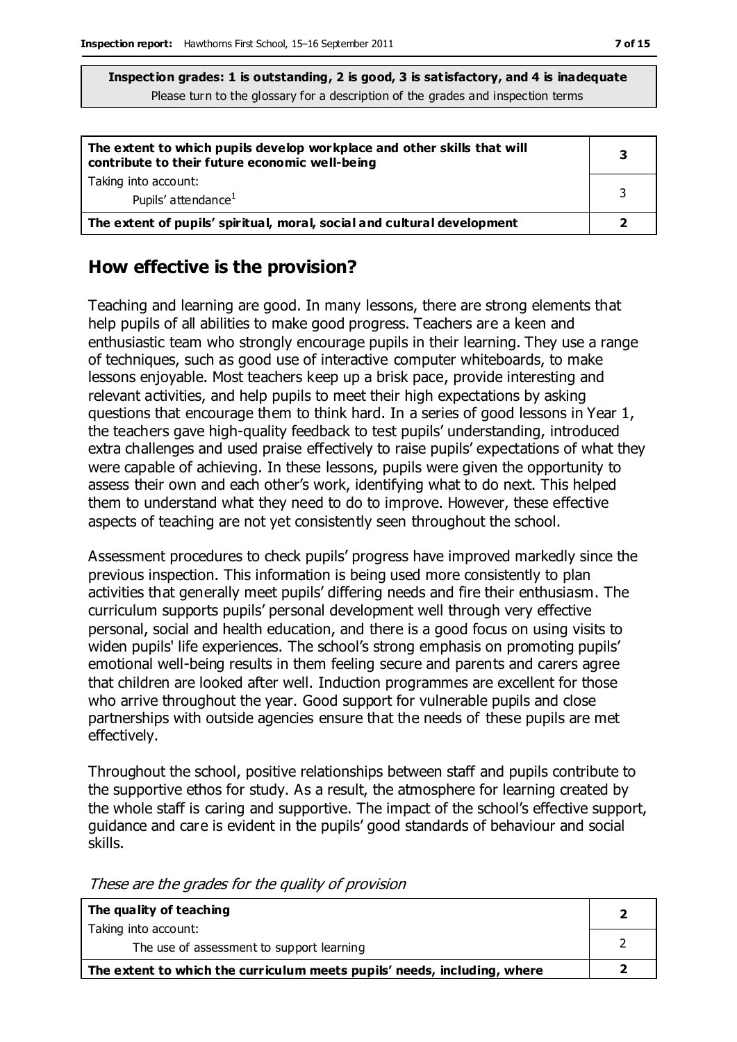| The extent to which pupils develop workplace and other skills that will<br>contribute to their future economic well-being | 3 |
|---------------------------------------------------------------------------------------------------------------------------|---|
| Taking into account:<br>Pupils' attendance <sup>1</sup>                                                                   |   |
| The extent of pupils' spiritual, moral, social and cultural development                                                   |   |

#### **How effective is the provision?**

Teaching and learning are good. In many lessons, there are strong elements that help pupils of all abilities to make good progress. Teachers are a keen and enthusiastic team who strongly encourage pupils in their learning. They use a range of techniques, such as good use of interactive computer whiteboards, to make lessons enjoyable. Most teachers keep up a brisk pace, provide interesting and relevant activities, and help pupils to meet their high expectations by asking questions that encourage them to think hard. In a series of good lessons in Year 1, the teachers gave high-quality feedback to test pupils' understanding, introduced extra challenges and used praise effectively to raise pupils' expectations of what they were capable of achieving. In these lessons, pupils were given the opportunity to assess their own and each other's work, identifying what to do next. This helped them to understand what they need to do to improve. However, these effective aspects of teaching are not yet consistently seen throughout the school.

Assessment procedures to check pupils' progress have improved markedly since the previous inspection. This information is being used more consistently to plan activities that generally meet pupils' differing needs and fire their enthusiasm. The curriculum supports pupils' personal development well through very effective personal, social and health education, and there is a good focus on using visits to widen pupils' life experiences. The school's strong emphasis on promoting pupils' emotional well-being results in them feeling secure and parents and carers agree that children are looked after well. Induction programmes are excellent for those who arrive throughout the year. Good support for vulnerable pupils and close partnerships with outside agencies ensure that the needs of these pupils are met effectively.

Throughout the school, positive relationships between staff and pupils contribute to the supportive ethos for study. As a result, the atmosphere for learning created by the whole staff is caring and supportive. The impact of the school's effective support, guidance and care is evident in the pupils' good standards of behaviour and social skills.

|  |  |  | These are the grades for the quality of provision |
|--|--|--|---------------------------------------------------|
|  |  |  |                                                   |
|  |  |  |                                                   |
|  |  |  |                                                   |

| The quality of teaching                                                  |  |
|--------------------------------------------------------------------------|--|
| Taking into account:<br>The use of assessment to support learning        |  |
| The extent to which the curriculum meets pupils' needs, including, where |  |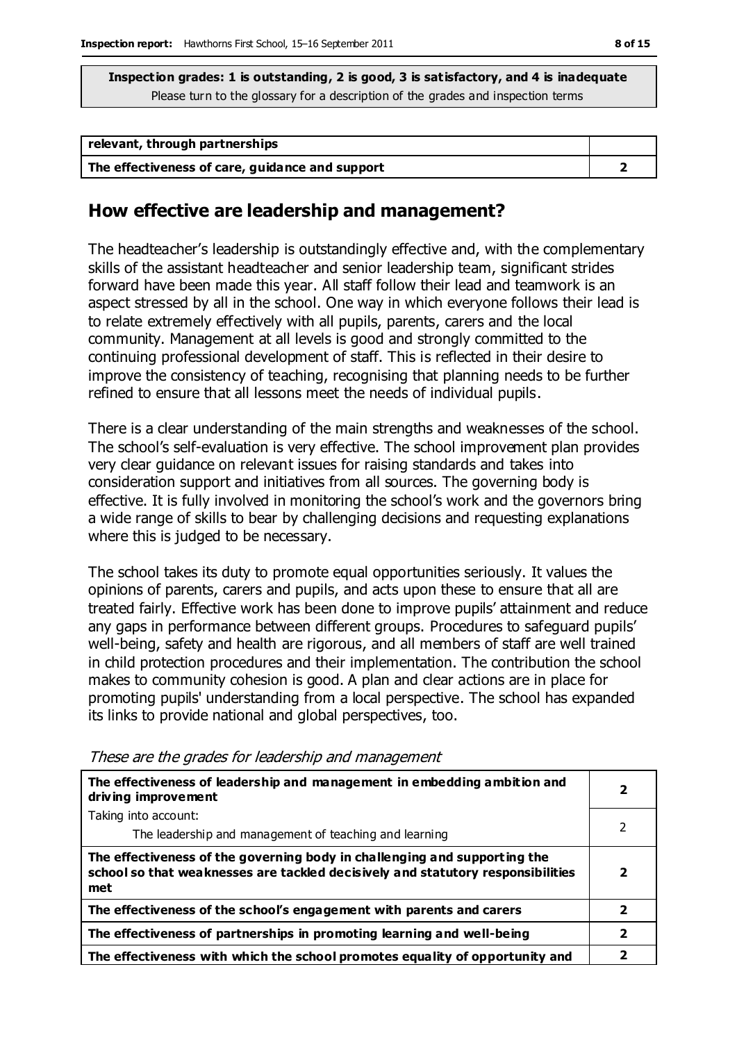| relevant, through partnerships                  |  |
|-------------------------------------------------|--|
| The effectiveness of care, guidance and support |  |

#### **How effective are leadership and management?**

The headteacher's leadership is outstandingly effective and, with the complementary skills of the assistant headteacher and senior leadership team, significant strides forward have been made this year. All staff follow their lead and teamwork is an aspect stressed by all in the school. One way in which everyone follows their lead is to relate extremely effectively with all pupils, parents, carers and the local community. Management at all levels is good and strongly committed to the continuing professional development of staff. This is reflected in their desire to improve the consistency of teaching, recognising that planning needs to be further refined to ensure that all lessons meet the needs of individual pupils.

There is a clear understanding of the main strengths and weaknesses of the school. The school's self-evaluation is very effective. The school improvement plan provides very clear guidance on relevant issues for raising standards and takes into consideration support and initiatives from all sources. The governing body is effective. It is fully involved in monitoring the school's work and the governors bring a wide range of skills to bear by challenging decisions and requesting explanations where this is judged to be necessary.

The school takes its duty to promote equal opportunities seriously. It values the opinions of parents, carers and pupils, and acts upon these to ensure that all are treated fairly. Effective work has been done to improve pupils' attainment and reduce any gaps in performance between different groups. Procedures to safeguard pupils' well-being, safety and health are rigorous, and all members of staff are well trained in child protection procedures and their implementation. The contribution the school makes to community cohesion is good. A plan and clear actions are in place for promoting pupils' understanding from a local perspective. The school has expanded its links to provide national and global perspectives, too.

| The effectiveness of leadership and management in embedding ambition and<br>driving improvement                                                                     |   |
|---------------------------------------------------------------------------------------------------------------------------------------------------------------------|---|
| Taking into account:                                                                                                                                                |   |
| The leadership and management of teaching and learning                                                                                                              |   |
| The effectiveness of the governing body in challenging and supporting the<br>school so that weaknesses are tackled decisively and statutory responsibilities<br>met | 7 |
| The effectiveness of the school's engagement with parents and carers                                                                                                | 2 |
| The effectiveness of partnerships in promoting learning and well-being                                                                                              | 2 |
| The effectiveness with which the school promotes equality of opportunity and                                                                                        |   |

These are the grades for leadership and management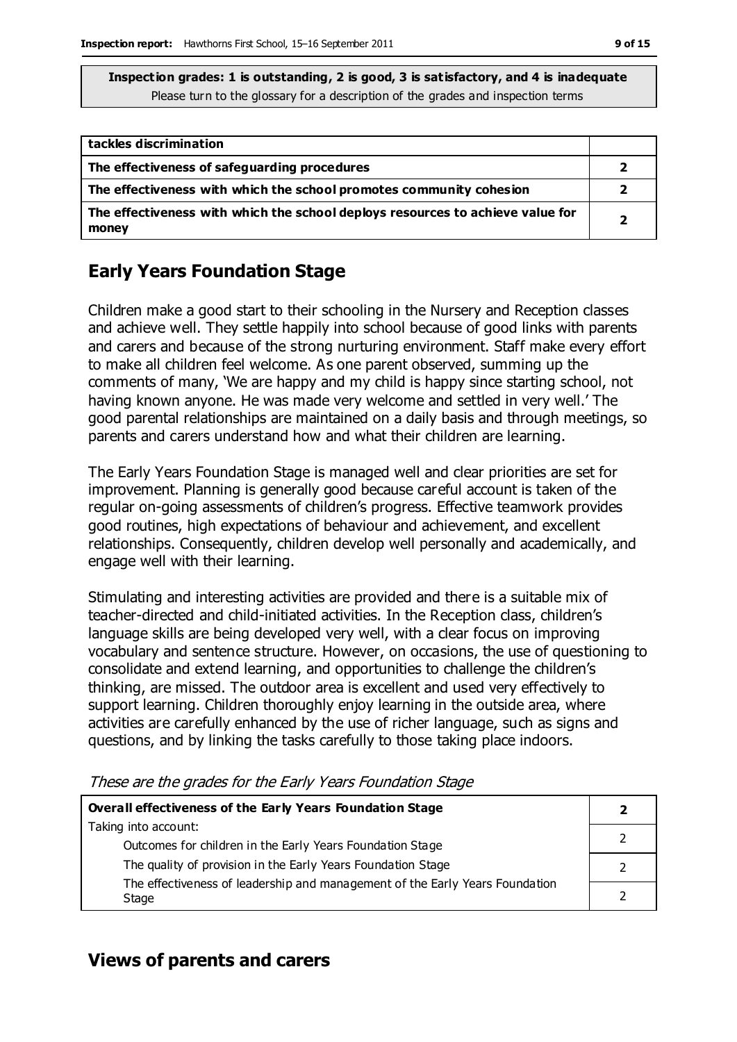| tackles discrimination                                                                  |   |
|-----------------------------------------------------------------------------------------|---|
| The effectiveness of safeguarding procedures                                            |   |
| The effectiveness with which the school promotes community cohesion                     |   |
| The effectiveness with which the school deploys resources to achieve value for<br>money | 7 |

#### **Early Years Foundation Stage**

Children make a good start to their schooling in the Nursery and Reception classes and achieve well. They settle happily into school because of good links with parents and carers and because of the strong nurturing environment. Staff make every effort to make all children feel welcome. As one parent observed, summing up the comments of many, 'We are happy and my child is happy since starting school, not having known anyone. He was made very welcome and settled in very well.' The good parental relationships are maintained on a daily basis and through meetings, so parents and carers understand how and what their children are learning.

The Early Years Foundation Stage is managed well and clear priorities are set for improvement. Planning is generally good because careful account is taken of the regular on-going assessments of children's progress. Effective teamwork provides good routines, high expectations of behaviour and achievement, and excellent relationships. Consequently, children develop well personally and academically, and engage well with their learning.

Stimulating and interesting activities are provided and there is a suitable mix of teacher-directed and child-initiated activities. In the Reception class, children's language skills are being developed very well, with a clear focus on improving vocabulary and sentence structure. However, on occasions, the use of questioning to consolidate and extend learning, and opportunities to challenge the children's thinking, are missed. The outdoor area is excellent and used very effectively to support learning. Children thoroughly enjoy learning in the outside area, where activities are carefully enhanced by the use of richer language, such as signs and questions, and by linking the tasks carefully to those taking place indoors.

| Overall effectiveness of the Early Years Foundation Stage                             |  |
|---------------------------------------------------------------------------------------|--|
| Taking into account:<br>Outcomes for children in the Early Years Foundation Stage     |  |
| The quality of provision in the Early Years Foundation Stage                          |  |
| The effectiveness of leadership and management of the Early Years Foundation<br>Stage |  |

These are the grades for the Early Years Foundation Stage

#### **Views of parents and carers**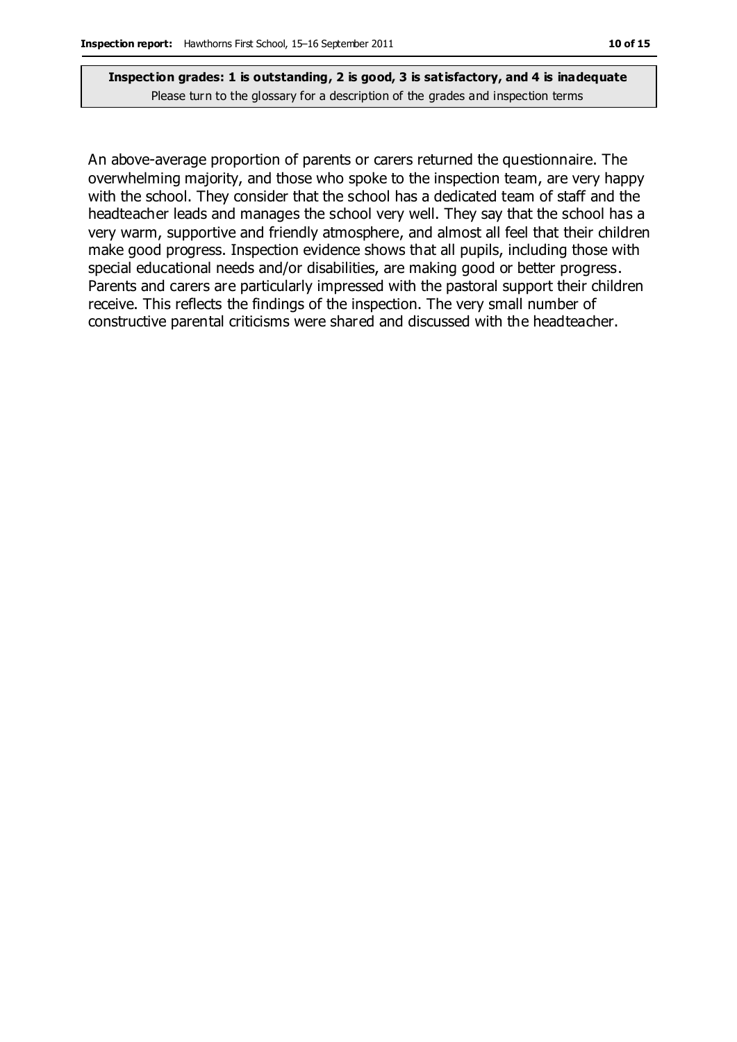An above-average proportion of parents or carers returned the questionnaire. The overwhelming majority, and those who spoke to the inspection team, are very happy with the school. They consider that the school has a dedicated team of staff and the headteacher leads and manages the school very well. They say that the school has a very warm, supportive and friendly atmosphere, and almost all feel that their children make good progress. Inspection evidence shows that all pupils, including those with special educational needs and/or disabilities, are making good or better progress. Parents and carers are particularly impressed with the pastoral support their children receive. This reflects the findings of the inspection. The very small number of constructive parental criticisms were shared and discussed with the headteacher.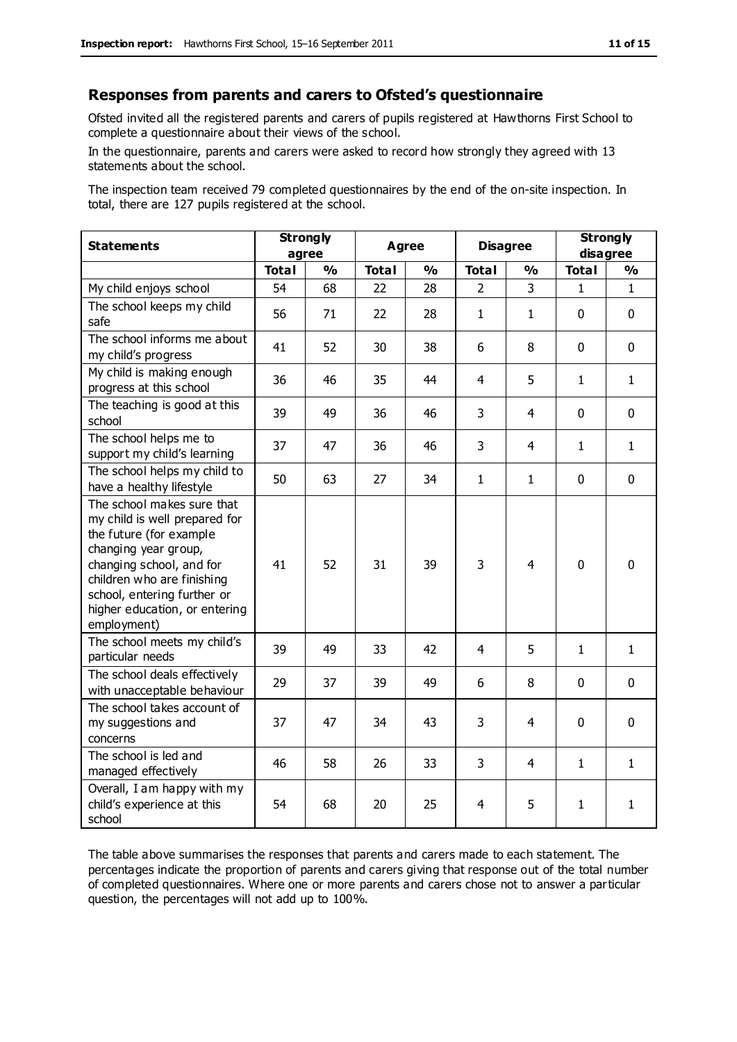#### **Responses from parents and carers to Ofsted's questionnaire**

Ofsted invited all the registered parents and carers of pupils registered at Hawthorns First School to complete a questionnaire about their views of the school.

In the questionnaire, parents and carers were asked to record how strongly they agreed with 13 statements about the school.

The inspection team received 79 completed questionnaires by the end of the on-site inspection. In total, there are 127 pupils registered at the school.

| <b>Statements</b>                                                                                                                                                                                                                                       | <b>Strongly</b><br>agree |               | Agree        |    | <b>Disagree</b> |                | <b>Strongly</b><br>disagree |              |
|---------------------------------------------------------------------------------------------------------------------------------------------------------------------------------------------------------------------------------------------------------|--------------------------|---------------|--------------|----|-----------------|----------------|-----------------------------|--------------|
|                                                                                                                                                                                                                                                         | <b>Total</b>             | $\frac{0}{0}$ | <b>Total</b> | %  | <b>Total</b>    | %              | <b>Total</b>                | %            |
| My child enjoys school                                                                                                                                                                                                                                  | 54                       | 68            | 22           | 28 | $\overline{2}$  | $\overline{3}$ | $\mathbf{1}$                | $\mathbf{1}$ |
| The school keeps my child<br>safe                                                                                                                                                                                                                       | 56                       | 71            | 22           | 28 | $\mathbf{1}$    | $\mathbf{1}$   | $\mathbf 0$                 | $\mathbf 0$  |
| The school informs me about<br>my child's progress                                                                                                                                                                                                      | 41                       | 52            | 30           | 38 | 6               | 8              | $\mathbf{0}$                | $\mathbf 0$  |
| My child is making enough<br>progress at this school                                                                                                                                                                                                    | 36                       | 46            | 35           | 44 | $\overline{4}$  | 5              | $\mathbf{1}$                | $\mathbf{1}$ |
| The teaching is good at this<br>school                                                                                                                                                                                                                  | 39                       | 49            | 36           | 46 | 3               | 4              | $\Omega$                    | $\mathbf 0$  |
| The school helps me to<br>support my child's learning                                                                                                                                                                                                   | 37                       | 47            | 36           | 46 | 3               | 4              | $\mathbf{1}$                | $\mathbf{1}$ |
| The school helps my child to<br>have a healthy lifestyle                                                                                                                                                                                                | 50                       | 63            | 27           | 34 | $\mathbf{1}$    | $\mathbf{1}$   | $\mathbf 0$                 | $\mathbf 0$  |
| The school makes sure that<br>my child is well prepared for<br>the future (for example<br>changing year group,<br>changing school, and for<br>children who are finishing<br>school, entering further or<br>higher education, or entering<br>employment) | 41                       | 52            | 31           | 39 | 3               | $\overline{4}$ | $\mathbf{0}$                | $\mathbf 0$  |
| The school meets my child's<br>particular needs                                                                                                                                                                                                         | 39                       | 49            | 33           | 42 | 4               | 5              | 1                           | $\mathbf{1}$ |
| The school deals effectively<br>with unacceptable behaviour                                                                                                                                                                                             | 29                       | 37            | 39           | 49 | 6               | 8              | $\Omega$                    | $\mathbf 0$  |
| The school takes account of<br>my suggestions and<br>concerns                                                                                                                                                                                           | 37                       | 47            | 34           | 43 | 3               | 4              | $\mathbf 0$                 | $\mathbf 0$  |
| The school is led and<br>managed effectively                                                                                                                                                                                                            | 46                       | 58            | 26           | 33 | 3               | 4              | $\mathbf{1}$                | $\mathbf{1}$ |
| Overall, I am happy with my<br>child's experience at this<br>school                                                                                                                                                                                     | 54                       | 68            | 20           | 25 | 4               | 5              | 1                           | $\mathbf{1}$ |

The table above summarises the responses that parents and carers made to each statement. The percentages indicate the proportion of parents and carers giving that response out of the total number of completed questionnaires. Where one or more parents and carers chose not to answer a particular question, the percentages will not add up to 100%.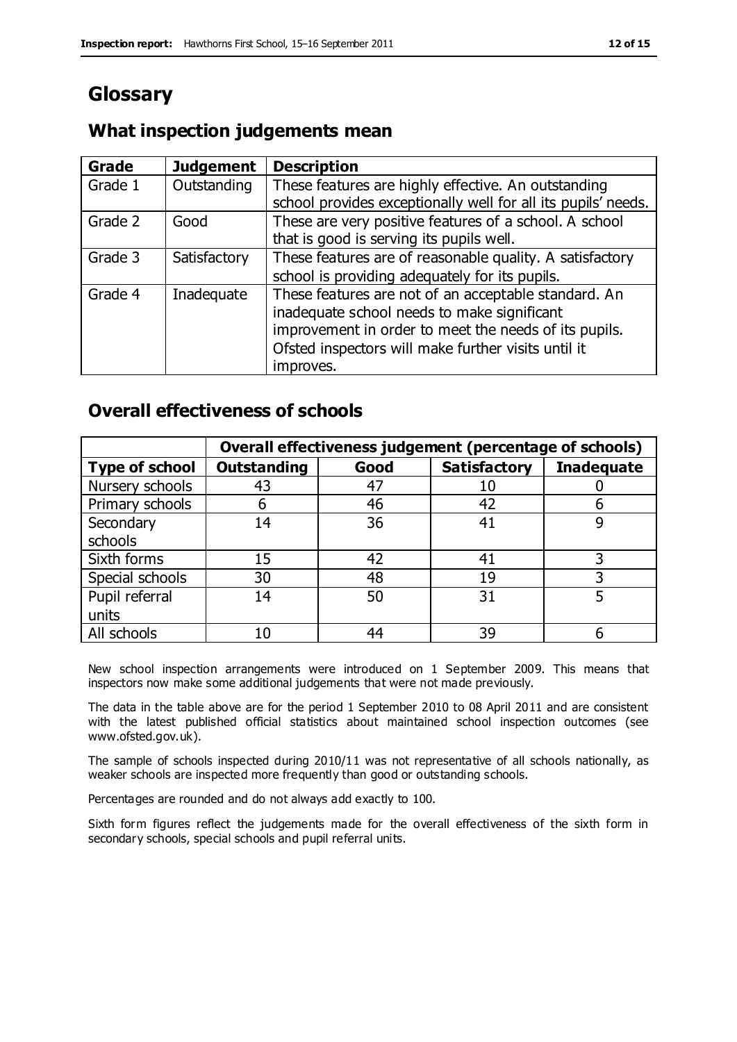## **Glossary**

#### **What inspection judgements mean**

| Grade   | <b>Judgement</b> | <b>Description</b>                                            |
|---------|------------------|---------------------------------------------------------------|
| Grade 1 | Outstanding      | These features are highly effective. An outstanding           |
|         |                  | school provides exceptionally well for all its pupils' needs. |
| Grade 2 | Good             | These are very positive features of a school. A school        |
|         |                  | that is good is serving its pupils well.                      |
| Grade 3 | Satisfactory     | These features are of reasonable quality. A satisfactory      |
|         |                  | school is providing adequately for its pupils.                |
| Grade 4 | Inadequate       | These features are not of an acceptable standard. An          |
|         |                  | inadequate school needs to make significant                   |
|         |                  | improvement in order to meet the needs of its pupils.         |
|         |                  | Ofsted inspectors will make further visits until it           |
|         |                  | improves.                                                     |

#### **Overall effectiveness of schools**

|                       | Overall effectiveness judgement (percentage of schools) |      |                     |                   |
|-----------------------|---------------------------------------------------------|------|---------------------|-------------------|
| <b>Type of school</b> | <b>Outstanding</b>                                      | Good | <b>Satisfactory</b> | <b>Inadequate</b> |
| Nursery schools       | 43                                                      | 47   |                     |                   |
| Primary schools       | h                                                       | 46   | 42                  |                   |
| Secondary             | 14                                                      | 36   | 41                  |                   |
| schools               |                                                         |      |                     |                   |
| Sixth forms           | 15                                                      | 42   | 41                  | 3                 |
| Special schools       | 30                                                      | 48   | 19                  |                   |
| Pupil referral        | 14                                                      | 50   | 31                  |                   |
| units                 |                                                         |      |                     |                   |
| All schools           | 10                                                      | 44   | 39                  |                   |

New school inspection arrangements were introduced on 1 September 2009. This means that inspectors now make some additional judgements that were not made previously.

The data in the table above are for the period 1 September 2010 to 08 April 2011 and are consistent with the latest published official statistics about maintained school inspection outcomes (see www.ofsted.gov.uk).

The sample of schools inspected during 2010/11 was not representative of all schools nationally, as weaker schools are inspected more frequently than good or outstanding schools.

Percentages are rounded and do not always add exactly to 100.

Sixth form figures reflect the judgements made for the overall effectiveness of the sixth form in secondary schools, special schools and pupil referral units.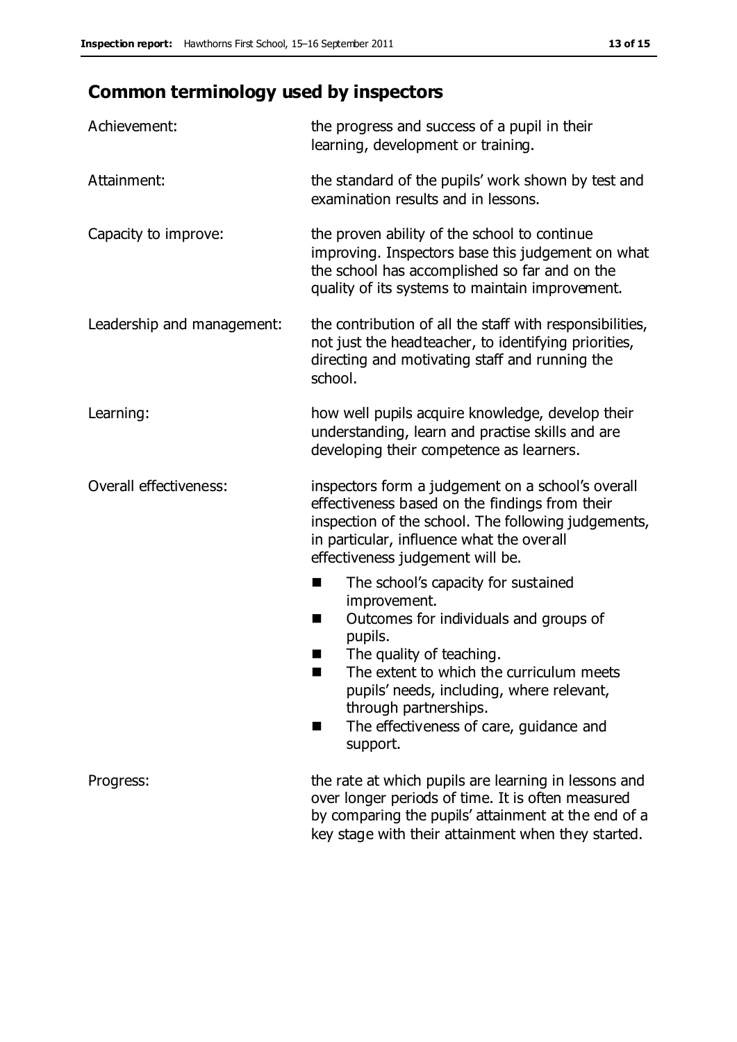## **Common terminology used by inspectors**

| Achievement:               | the progress and success of a pupil in their<br>learning, development or training.                                                                                                                                                                                                                                             |  |  |
|----------------------------|--------------------------------------------------------------------------------------------------------------------------------------------------------------------------------------------------------------------------------------------------------------------------------------------------------------------------------|--|--|
| Attainment:                | the standard of the pupils' work shown by test and<br>examination results and in lessons.                                                                                                                                                                                                                                      |  |  |
| Capacity to improve:       | the proven ability of the school to continue<br>improving. Inspectors base this judgement on what<br>the school has accomplished so far and on the<br>quality of its systems to maintain improvement.                                                                                                                          |  |  |
| Leadership and management: | the contribution of all the staff with responsibilities,<br>not just the headteacher, to identifying priorities,<br>directing and motivating staff and running the<br>school.                                                                                                                                                  |  |  |
| Learning:                  | how well pupils acquire knowledge, develop their<br>understanding, learn and practise skills and are<br>developing their competence as learners.                                                                                                                                                                               |  |  |
| Overall effectiveness:     | inspectors form a judgement on a school's overall<br>effectiveness based on the findings from their<br>inspection of the school. The following judgements,<br>in particular, influence what the overall<br>effectiveness judgement will be.                                                                                    |  |  |
|                            | The school's capacity for sustained<br>improvement.<br>Outcomes for individuals and groups of<br>п<br>pupils.<br>The quality of teaching.<br>The extent to which the curriculum meets<br>a s<br>pupils' needs, including, where relevant,<br>through partnerships.<br>The effectiveness of care, guidance and<br>■<br>support. |  |  |
| Progress:                  | the rate at which pupils are learning in lessons and<br>over longer periods of time. It is often measured<br>by comparing the pupils' attainment at the end of a<br>key stage with their attainment when they started.                                                                                                         |  |  |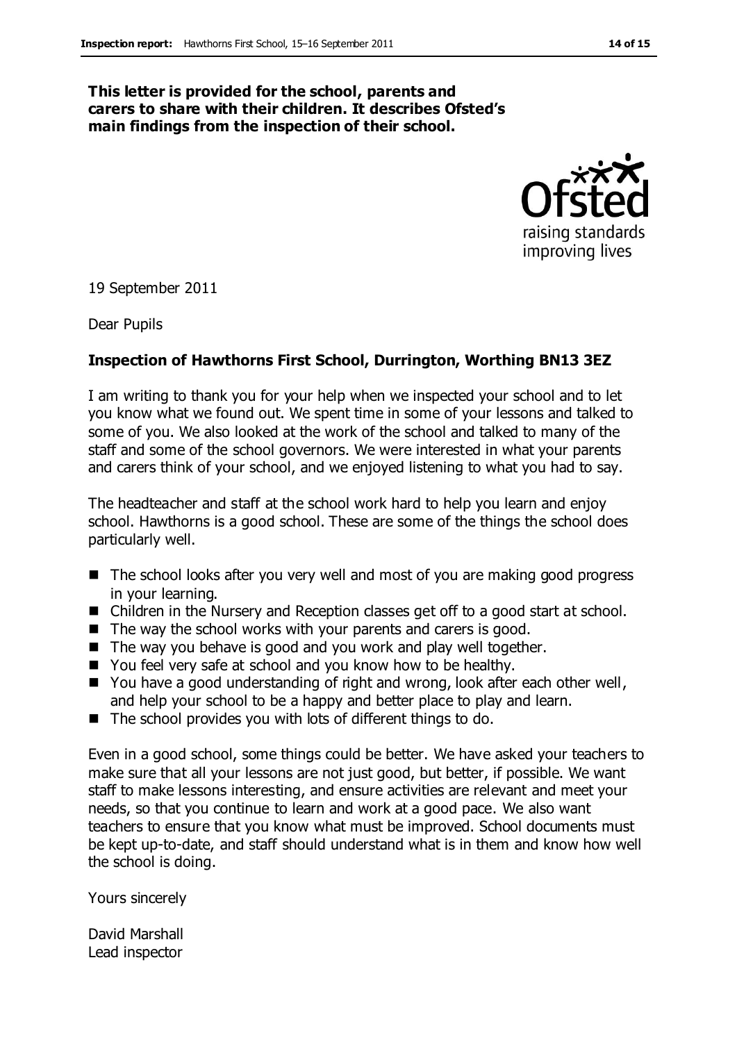#### **This letter is provided for the school, parents and carers to share with their children. It describes Ofsted's main findings from the inspection of their school.**



19 September 2011

Dear Pupils

#### **Inspection of Hawthorns First School, Durrington, Worthing BN13 3EZ**

I am writing to thank you for your help when we inspected your school and to let you know what we found out. We spent time in some of your lessons and talked to some of you. We also looked at the work of the school and talked to many of the staff and some of the school governors. We were interested in what your parents and carers think of your school, and we enjoyed listening to what you had to say.

The headteacher and staff at the school work hard to help you learn and enjoy school. Hawthorns is a good school. These are some of the things the school does particularly well.

- The school looks after you very well and most of you are making good progress in your learning.
- Children in the Nursery and Reception classes get off to a good start at school.
- $\blacksquare$  The way the school works with your parents and carers is good.
- $\blacksquare$  The way you behave is good and you work and play well together.
- You feel very safe at school and you know how to be healthy.
- You have a good understanding of right and wrong, look after each other well, and help your school to be a happy and better place to play and learn.
- The school provides you with lots of different things to do.

Even in a good school, some things could be better. We have asked your teachers to make sure that all your lessons are not just good, but better, if possible. We want staff to make lessons interesting, and ensure activities are relevant and meet your needs, so that you continue to learn and work at a good pace. We also want teachers to ensure that you know what must be improved. School documents must be kept up-to-date, and staff should understand what is in them and know how well the school is doing.

Yours sincerely

David Marshall Lead inspector